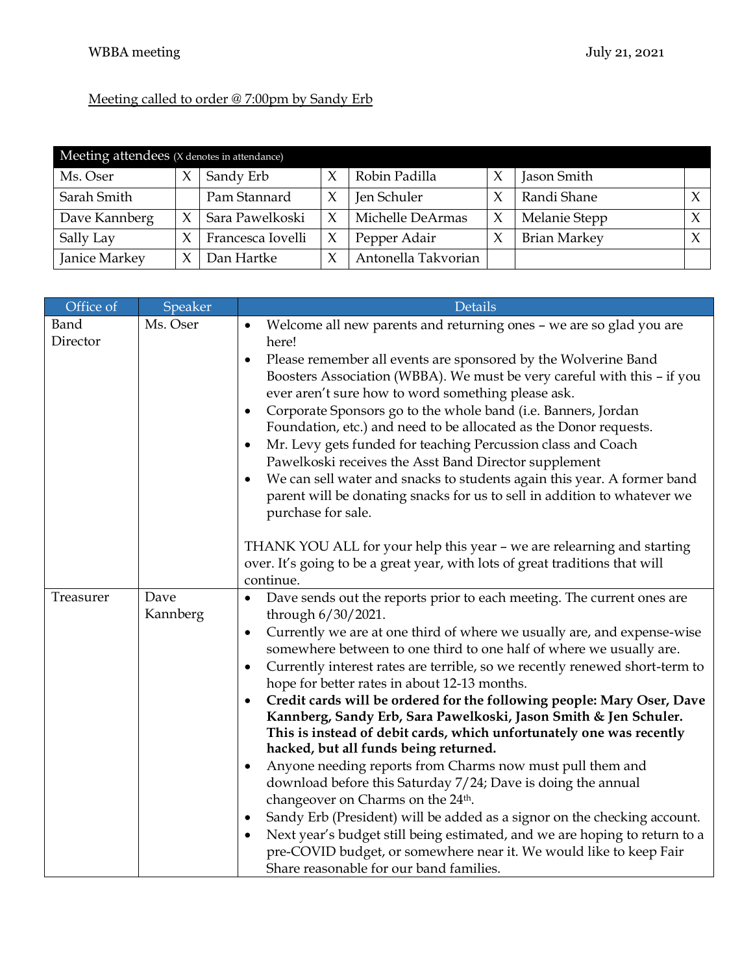## Meeting called to order @ 7:00pm by Sandy Erb

| Meeting attendees (X denotes in attendance) |  |                   |   |                     |                     |                     |              |
|---------------------------------------------|--|-------------------|---|---------------------|---------------------|---------------------|--------------|
| Ms. Oser                                    |  | Sandy Erb         |   | Robin Padilla       |                     | Jason Smith         |              |
| Sarah Smith                                 |  | Pam Stannard      | X | Jen Schuler         |                     | Randi Shane         | $\mathbf v$  |
| Dave Kannberg                               |  | Sara Pawelkoski   | X | Michelle DeArmas    | $\boldsymbol{\chi}$ | Melanie Stepp       | $\chi$       |
| Sally Lay                                   |  | Francesca Iovelli | X | Pepper Adair        |                     | <b>Brian Markey</b> | $\mathbf{v}$ |
| Janice Markey                               |  | Dan Hartke        |   | Antonella Takvorian |                     |                     |              |

| Office of | Speaker  | <b>Details</b>                                                                                                                           |  |  |  |
|-----------|----------|------------------------------------------------------------------------------------------------------------------------------------------|--|--|--|
| Band      | Ms. Oser | Welcome all new parents and returning ones - we are so glad you are<br>$\bullet$                                                         |  |  |  |
| Director  |          | here!                                                                                                                                    |  |  |  |
|           |          | Please remember all events are sponsored by the Wolverine Band                                                                           |  |  |  |
|           |          | Boosters Association (WBBA). We must be very careful with this - if you                                                                  |  |  |  |
|           |          | ever aren't sure how to word something please ask.                                                                                       |  |  |  |
|           |          | Corporate Sponsors go to the whole band (i.e. Banners, Jordan                                                                            |  |  |  |
|           |          | Foundation, etc.) and need to be allocated as the Donor requests.                                                                        |  |  |  |
|           |          | Mr. Levy gets funded for teaching Percussion class and Coach                                                                             |  |  |  |
|           |          | Pawelkoski receives the Asst Band Director supplement                                                                                    |  |  |  |
|           |          | We can sell water and snacks to students again this year. A former band                                                                  |  |  |  |
|           |          | parent will be donating snacks for us to sell in addition to whatever we                                                                 |  |  |  |
|           |          | purchase for sale.                                                                                                                       |  |  |  |
|           |          |                                                                                                                                          |  |  |  |
|           |          | THANK YOU ALL for your help this year - we are relearning and starting                                                                   |  |  |  |
|           |          | over. It's going to be a great year, with lots of great traditions that will                                                             |  |  |  |
|           |          | continue.                                                                                                                                |  |  |  |
| Treasurer | Dave     | Dave sends out the reports prior to each meeting. The current ones are<br>$\bullet$                                                      |  |  |  |
|           | Kannberg | through 6/30/2021.                                                                                                                       |  |  |  |
|           |          | Currently we are at one third of where we usually are, and expense-wise<br>$\bullet$                                                     |  |  |  |
|           |          | somewhere between to one third to one half of where we usually are.                                                                      |  |  |  |
|           |          | Currently interest rates are terrible, so we recently renewed short-term to<br>$\bullet$                                                 |  |  |  |
|           |          | hope for better rates in about 12-13 months.                                                                                             |  |  |  |
|           |          | Credit cards will be ordered for the following people: Mary Oser, Dave                                                                   |  |  |  |
|           |          | Kannberg, Sandy Erb, Sara Pawelkoski, Jason Smith & Jen Schuler.<br>This is instead of debit cards, which unfortunately one was recently |  |  |  |
|           |          | hacked, but all funds being returned.                                                                                                    |  |  |  |
|           |          | Anyone needing reports from Charms now must pull them and                                                                                |  |  |  |
|           |          | download before this Saturday 7/24; Dave is doing the annual                                                                             |  |  |  |
|           |          | changeover on Charms on the 24 <sup>th</sup> .                                                                                           |  |  |  |
|           |          | Sandy Erb (President) will be added as a signor on the checking account.                                                                 |  |  |  |
|           |          | Next year's budget still being estimated, and we are hoping to return to a<br>$\bullet$                                                  |  |  |  |
|           |          | pre-COVID budget, or somewhere near it. We would like to keep Fair                                                                       |  |  |  |
|           |          | Share reasonable for our band families.                                                                                                  |  |  |  |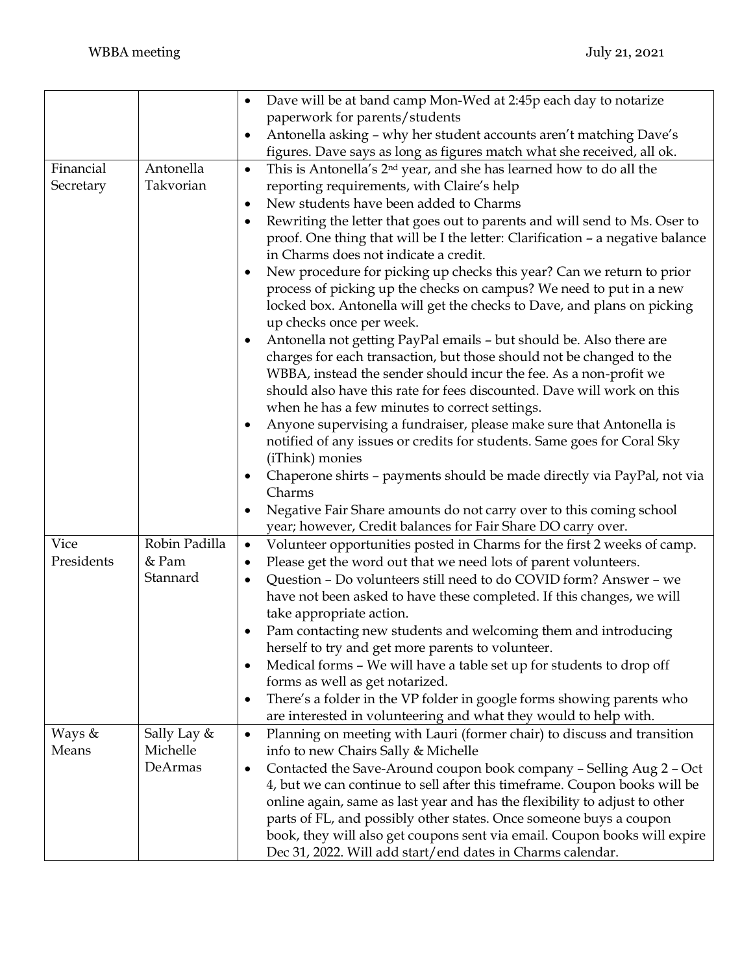|            |                | $\bullet$ | Dave will be at band camp Mon-Wed at 2:45p each day to notarize                 |
|------------|----------------|-----------|---------------------------------------------------------------------------------|
|            |                |           | paperwork for parents/students                                                  |
|            |                | $\bullet$ | Antonella asking - why her student accounts aren't matching Dave's              |
|            |                |           | figures. Dave says as long as figures match what she received, all ok.          |
| Financial  | Antonella      | $\bullet$ | This is Antonella's 2 <sup>nd</sup> year, and she has learned how to do all the |
| Secretary  | Takvorian      |           | reporting requirements, with Claire's help                                      |
|            |                | $\bullet$ | New students have been added to Charms                                          |
|            |                | ٠         | Rewriting the letter that goes out to parents and will send to Ms. Oser to      |
|            |                |           | proof. One thing that will be I the letter: Clarification - a negative balance  |
|            |                |           | in Charms does not indicate a credit.                                           |
|            |                | $\bullet$ | New procedure for picking up checks this year? Can we return to prior           |
|            |                |           | process of picking up the checks on campus? We need to put in a new             |
|            |                |           | locked box. Antonella will get the checks to Dave, and plans on picking         |
|            |                |           | up checks once per week.                                                        |
|            |                | $\bullet$ | Antonella not getting PayPal emails - but should be. Also there are             |
|            |                |           | charges for each transaction, but those should not be changed to the            |
|            |                |           | WBBA, instead the sender should incur the fee. As a non-profit we               |
|            |                |           | should also have this rate for fees discounted. Dave will work on this          |
|            |                |           | when he has a few minutes to correct settings.                                  |
|            |                | $\bullet$ | Anyone supervising a fundraiser, please make sure that Antonella is             |
|            |                |           | notified of any issues or credits for students. Same goes for Coral Sky         |
|            |                |           | (iThink) monies                                                                 |
|            |                | $\bullet$ | Chaperone shirts - payments should be made directly via PayPal, not via         |
|            |                |           | Charms                                                                          |
|            |                |           | Negative Fair Share amounts do not carry over to this coming school             |
|            |                |           | year; however, Credit balances for Fair Share DO carry over.                    |
| Vice       | Robin Padilla  | $\bullet$ | Volunteer opportunities posted in Charms for the first 2 weeks of camp.         |
| Presidents | & Pam          | $\bullet$ | Please get the word out that we need lots of parent volunteers.                 |
|            | Stannard       | $\bullet$ | Question - Do volunteers still need to do COVID form? Answer - we               |
|            |                |           | have not been asked to have these completed. If this changes, we will           |
|            |                |           | take appropriate action.                                                        |
|            |                |           | Pam contacting new students and welcoming them and introducing                  |
|            |                |           | herself to try and get more parents to volunteer.                               |
|            |                | $\bullet$ | Medical forms - We will have a table set up for students to drop off            |
|            |                |           | forms as well as get notarized.                                                 |
|            |                | $\bullet$ | There's a folder in the VP folder in google forms showing parents who           |
|            |                |           | are interested in volunteering and what they would to help with.                |
| Ways &     | Sally Lay $\&$ | $\bullet$ | Planning on meeting with Lauri (former chair) to discuss and transition         |
| Means      | Michelle       |           | info to new Chairs Sally & Michelle                                             |
|            | DeArmas        | $\bullet$ | Contacted the Save-Around coupon book company - Selling Aug 2 - Oct             |
|            |                |           | 4, but we can continue to sell after this timeframe. Coupon books will be       |
|            |                |           | online again, same as last year and has the flexibility to adjust to other      |
|            |                |           | parts of FL, and possibly other states. Once someone buys a coupon              |
|            |                |           | book, they will also get coupons sent via email. Coupon books will expire       |
|            |                |           | Dec 31, 2022. Will add start/end dates in Charms calendar.                      |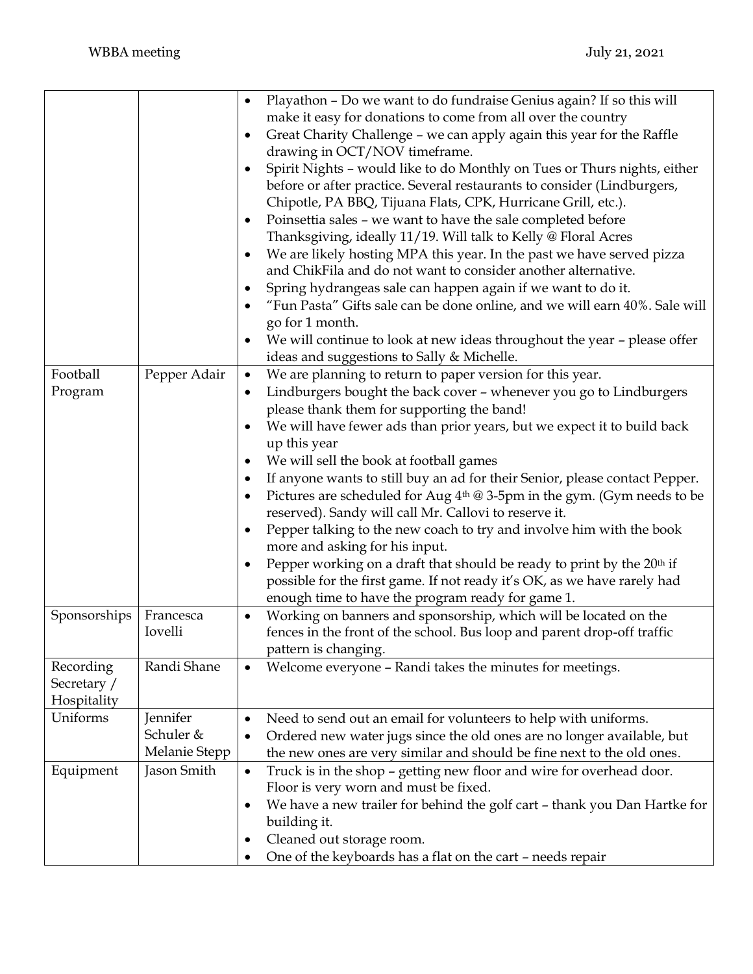|              |               |           | Playathon - Do we want to do fundraise Genius again? If so this will                |
|--------------|---------------|-----------|-------------------------------------------------------------------------------------|
|              |               |           | make it easy for donations to come from all over the country                        |
|              |               | $\bullet$ | Great Charity Challenge - we can apply again this year for the Raffle               |
|              |               |           | drawing in OCT/NOV timeframe.                                                       |
|              |               |           | Spirit Nights - would like to do Monthly on Tues or Thurs nights, either            |
|              |               |           | before or after practice. Several restaurants to consider (Lindburgers,             |
|              |               |           | Chipotle, PA BBQ, Tijuana Flats, CPK, Hurricane Grill, etc.).                       |
|              |               |           | Poinsettia sales - we want to have the sale completed before                        |
|              |               |           | Thanksgiving, ideally 11/19. Will talk to Kelly @ Floral Acres                      |
|              |               |           | We are likely hosting MPA this year. In the past we have served pizza               |
|              |               |           | and ChikFila and do not want to consider another alternative.                       |
|              |               |           | Spring hydrangeas sale can happen again if we want to do it.                        |
|              |               |           | "Fun Pasta" Gifts sale can be done online, and we will earn 40%. Sale will          |
|              |               |           | go for 1 month.                                                                     |
|              |               |           | We will continue to look at new ideas throughout the year - please offer            |
|              |               |           | ideas and suggestions to Sally & Michelle.                                          |
| Football     | Pepper Adair  | $\bullet$ | We are planning to return to paper version for this year.                           |
| Program      |               | $\bullet$ | Lindburgers bought the back cover - whenever you go to Lindburgers                  |
|              |               |           | please thank them for supporting the band!                                          |
|              |               |           | We will have fewer ads than prior years, but we expect it to build back             |
|              |               |           | up this year                                                                        |
|              |               | ٠         | We will sell the book at football games                                             |
|              |               |           | If anyone wants to still buy an ad for their Senior, please contact Pepper.         |
|              |               |           | Pictures are scheduled for Aug 4 <sup>th</sup> @ 3-5pm in the gym. (Gym needs to be |
|              |               |           | reserved). Sandy will call Mr. Callovi to reserve it.                               |
|              |               |           | Pepper talking to the new coach to try and involve him with the book                |
|              |               |           | more and asking for his input.                                                      |
|              |               |           | Pepper working on a draft that should be ready to print by the 20 <sup>th</sup> if  |
|              |               |           | possible for the first game. If not ready it's OK, as we have rarely had            |
|              |               |           | enough time to have the program ready for game 1.                                   |
| Sponsorships | Francesca     | $\bullet$ | Working on banners and sponsorship, which will be located on the                    |
|              | Iovelli       |           | fences in the front of the school. Bus loop and parent drop-off traffic             |
|              |               |           | pattern is changing.                                                                |
| Recording    | Randi Shane   | $\bullet$ | Welcome everyone - Randi takes the minutes for meetings.                            |
| Secretary /  |               |           |                                                                                     |
| Hospitality  |               |           |                                                                                     |
| Uniforms     | Jennifer      | $\bullet$ | Need to send out an email for volunteers to help with uniforms.                     |
|              | Schuler &     | $\bullet$ | Ordered new water jugs since the old ones are no longer available, but              |
|              | Melanie Stepp |           | the new ones are very similar and should be fine next to the old ones.              |
| Equipment    | Jason Smith   | $\bullet$ | Truck is in the shop - getting new floor and wire for overhead door.                |
|              |               |           | Floor is very worn and must be fixed.                                               |
|              |               | ٠         | We have a new trailer for behind the golf cart - thank you Dan Hartke for           |
|              |               |           | building it.                                                                        |
|              |               |           | Cleaned out storage room.                                                           |
|              |               |           | One of the keyboards has a flat on the cart - needs repair                          |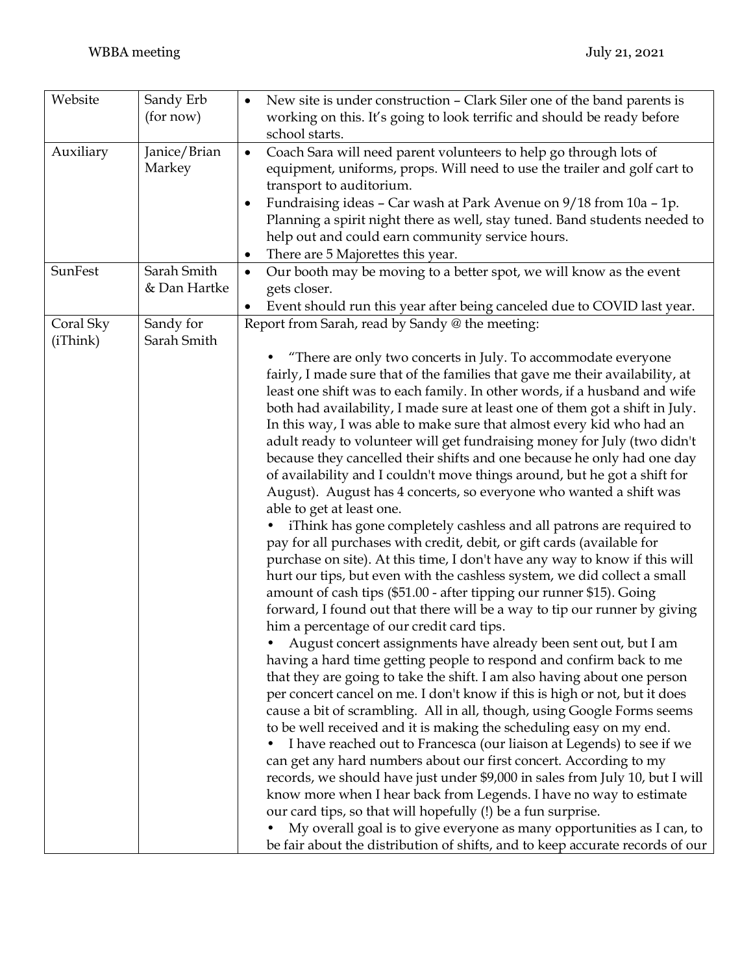| Website               | Sandy Erb<br>(for now)      | New site is under construction - Clark Siler one of the band parents is<br>working on this. It's going to look terrific and should be ready before<br>school starts.                                                                                                                                                                                                                                                                                                                                                                                                                                                                                                                                                                                                                                                                                                                                                                                                                                                                                                                                                                                                                                                                                                                                                                                                                                                                                                                                                                                                                                                                                                                                                                                                                                                                                                                                                                                                                                                                                                                                                                                                                                                                                                                 |
|-----------------------|-----------------------------|--------------------------------------------------------------------------------------------------------------------------------------------------------------------------------------------------------------------------------------------------------------------------------------------------------------------------------------------------------------------------------------------------------------------------------------------------------------------------------------------------------------------------------------------------------------------------------------------------------------------------------------------------------------------------------------------------------------------------------------------------------------------------------------------------------------------------------------------------------------------------------------------------------------------------------------------------------------------------------------------------------------------------------------------------------------------------------------------------------------------------------------------------------------------------------------------------------------------------------------------------------------------------------------------------------------------------------------------------------------------------------------------------------------------------------------------------------------------------------------------------------------------------------------------------------------------------------------------------------------------------------------------------------------------------------------------------------------------------------------------------------------------------------------------------------------------------------------------------------------------------------------------------------------------------------------------------------------------------------------------------------------------------------------------------------------------------------------------------------------------------------------------------------------------------------------------------------------------------------------------------------------------------------------|
| Auxiliary             | Janice/Brian<br>Markey      | Coach Sara will need parent volunteers to help go through lots of<br>$\bullet$<br>equipment, uniforms, props. Will need to use the trailer and golf cart to<br>transport to auditorium.<br>Fundraising ideas - Car wash at Park Avenue on 9/18 from 10a - 1p.<br>$\bullet$<br>Planning a spirit night there as well, stay tuned. Band students needed to<br>help out and could earn community service hours.<br>There are 5 Majorettes this year.<br>٠                                                                                                                                                                                                                                                                                                                                                                                                                                                                                                                                                                                                                                                                                                                                                                                                                                                                                                                                                                                                                                                                                                                                                                                                                                                                                                                                                                                                                                                                                                                                                                                                                                                                                                                                                                                                                               |
| SunFest               | Sarah Smith<br>& Dan Hartke | Our booth may be moving to a better spot, we will know as the event<br>$\bullet$<br>gets closer.<br>Event should run this year after being canceled due to COVID last year.                                                                                                                                                                                                                                                                                                                                                                                                                                                                                                                                                                                                                                                                                                                                                                                                                                                                                                                                                                                                                                                                                                                                                                                                                                                                                                                                                                                                                                                                                                                                                                                                                                                                                                                                                                                                                                                                                                                                                                                                                                                                                                          |
| Coral Sky<br>(iThink) | Sandy for<br>Sarah Smith    | Report from Sarah, read by Sandy @ the meeting:<br>"There are only two concerts in July. To accommodate everyone<br>fairly, I made sure that of the families that gave me their availability, at<br>least one shift was to each family. In other words, if a husband and wife<br>both had availability, I made sure at least one of them got a shift in July.<br>In this way, I was able to make sure that almost every kid who had an<br>adult ready to volunteer will get fundraising money for July (two didn't<br>because they cancelled their shifts and one because he only had one day<br>of availability and I couldn't move things around, but he got a shift for<br>August). August has 4 concerts, so everyone who wanted a shift was<br>able to get at least one.<br>iThink has gone completely cashless and all patrons are required to<br>pay for all purchases with credit, debit, or gift cards (available for<br>purchase on site). At this time, I don't have any way to know if this will<br>hurt our tips, but even with the cashless system, we did collect a small<br>amount of cash tips (\$51.00 - after tipping our runner \$15). Going<br>forward, I found out that there will be a way to tip our runner by giving<br>him a percentage of our credit card tips.<br>August concert assignments have already been sent out, but I am<br>having a hard time getting people to respond and confirm back to me<br>that they are going to take the shift. I am also having about one person<br>per concert cancel on me. I don't know if this is high or not, but it does<br>cause a bit of scrambling. All in all, though, using Google Forms seems<br>to be well received and it is making the scheduling easy on my end.<br>I have reached out to Francesca (our liaison at Legends) to see if we<br>٠<br>can get any hard numbers about our first concert. According to my<br>records, we should have just under \$9,000 in sales from July 10, but I will<br>know more when I hear back from Legends. I have no way to estimate<br>our card tips, so that will hopefully (!) be a fun surprise.<br>My overall goal is to give everyone as many opportunities as I can, to<br>be fair about the distribution of shifts, and to keep accurate records of our |